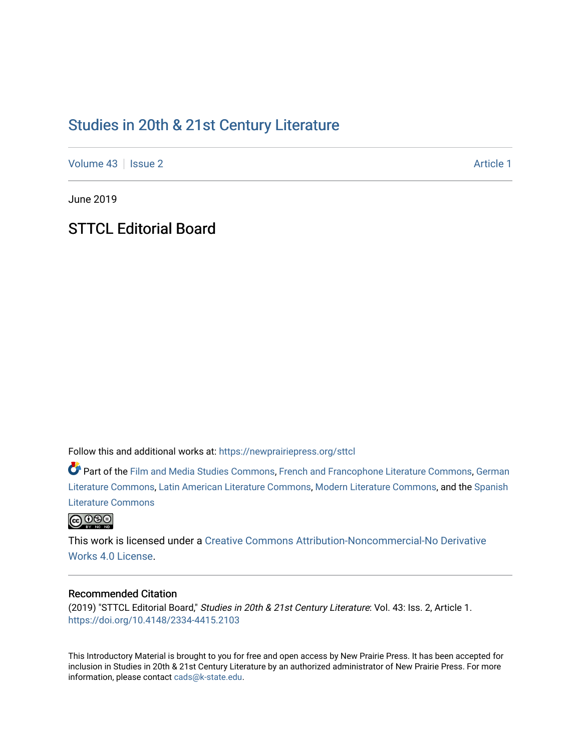# [Studies in 20th & 21st Century Literature](https://newprairiepress.org/sttcl)

[Volume 43](https://newprairiepress.org/sttcl/vol43) | [Issue 2](https://newprairiepress.org/sttcl/vol43/iss2) Article 1

June 2019

**STTCL Editorial Board** 

Follow this and additional works at: [https://newprairiepress.org/sttcl](https://newprairiepress.org/sttcl?utm_source=newprairiepress.org%2Fsttcl%2Fvol43%2Fiss2%2F1&utm_medium=PDF&utm_campaign=PDFCoverPages) 

Part of the [Film and Media Studies Commons,](http://network.bepress.com/hgg/discipline/563?utm_source=newprairiepress.org%2Fsttcl%2Fvol43%2Fiss2%2F1&utm_medium=PDF&utm_campaign=PDFCoverPages) [French and Francophone Literature Commons,](http://network.bepress.com/hgg/discipline/465?utm_source=newprairiepress.org%2Fsttcl%2Fvol43%2Fiss2%2F1&utm_medium=PDF&utm_campaign=PDFCoverPages) [German](http://network.bepress.com/hgg/discipline/469?utm_source=newprairiepress.org%2Fsttcl%2Fvol43%2Fiss2%2F1&utm_medium=PDF&utm_campaign=PDFCoverPages) [Literature Commons,](http://network.bepress.com/hgg/discipline/469?utm_source=newprairiepress.org%2Fsttcl%2Fvol43%2Fiss2%2F1&utm_medium=PDF&utm_campaign=PDFCoverPages) [Latin American Literature Commons,](http://network.bepress.com/hgg/discipline/547?utm_source=newprairiepress.org%2Fsttcl%2Fvol43%2Fiss2%2F1&utm_medium=PDF&utm_campaign=PDFCoverPages) [Modern Literature Commons](http://network.bepress.com/hgg/discipline/1050?utm_source=newprairiepress.org%2Fsttcl%2Fvol43%2Fiss2%2F1&utm_medium=PDF&utm_campaign=PDFCoverPages), and the [Spanish](http://network.bepress.com/hgg/discipline/550?utm_source=newprairiepress.org%2Fsttcl%2Fvol43%2Fiss2%2F1&utm_medium=PDF&utm_campaign=PDFCoverPages)  [Literature Commons](http://network.bepress.com/hgg/discipline/550?utm_source=newprairiepress.org%2Fsttcl%2Fvol43%2Fiss2%2F1&utm_medium=PDF&utm_campaign=PDFCoverPages) 



This work is licensed under a [Creative Commons Attribution-Noncommercial-No Derivative](https://creativecommons.org/licenses/by-nc-nd/4.0/)  [Works 4.0 License](https://creativecommons.org/licenses/by-nc-nd/4.0/).

### Recommended Citation

(2019) "STTCL Editorial Board," Studies in 20th & 21st Century Literature: Vol. 43: Iss. 2, Article 1. <https://doi.org/10.4148/2334-4415.2103>

This Introductory Material is brought to you for free and open access by New Prairie Press. It has been accepted for inclusion in Studies in 20th & 21st Century Literature by an authorized administrator of New Prairie Press. For more information, please contact [cads@k-state.edu](mailto:cads@k-state.edu).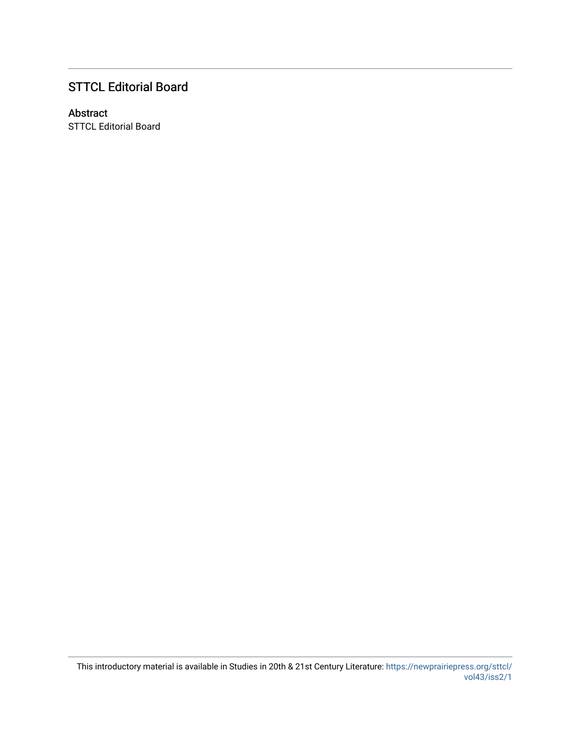## STTCL Editorial Board

### Abstract

STTCL Editorial Board

This introductory material is available in Studies in 20th & 21st Century Literature: [https://newprairiepress.org/sttcl/](https://newprairiepress.org/sttcl/vol43/iss2/1) [vol43/iss2/1](https://newprairiepress.org/sttcl/vol43/iss2/1)